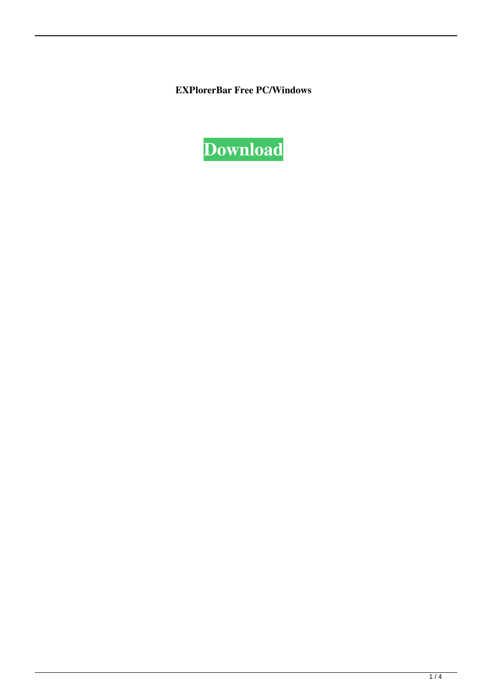**EXPlorerBar Free PC/Windows**

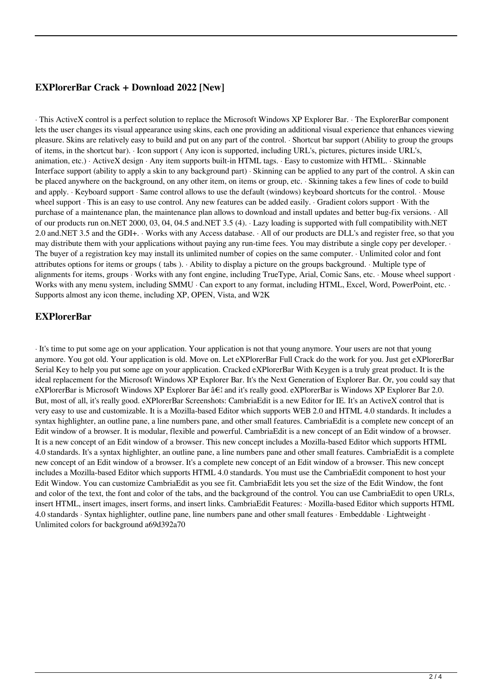# **EXPlorerBar Crack + Download 2022 [New]**

· This ActiveX control is a perfect solution to replace the Microsoft Windows XP Explorer Bar. · The ExplorerBar component lets the user changes its visual appearance using skins, each one providing an additional visual experience that enhances viewing pleasure. Skins are relatively easy to build and put on any part of the control. · Shortcut bar support (Ability to group the groups of items, in the shortcut bar). · Icon support ( Any icon is supported, including URL's, pictures, pictures inside URL's, animation, etc.) · ActiveX design · Any item supports built-in HTML tags. · Easy to customize with HTML. · Skinnable Interface support (ability to apply a skin to any background part) · Skinning can be applied to any part of the control. A skin can be placed anywhere on the background, on any other item, on items or group, etc. · Skinning takes a few lines of code to build and apply. · Keyboard support · Same control allows to use the default (windows) keyboard shortcuts for the control. · Mouse wheel support · This is an easy to use control. Any new features can be added easily. · Gradient colors support · With the purchase of a maintenance plan, the maintenance plan allows to download and install updates and better bug-fix versions. · All of our products run on.NET 2000, 03, 04, 04.5 and.NET 3.5 (4). · Lazy loading is supported with full compatibility with.NET 2.0 and.NET 3.5 and the GDI+. · Works with any Access database. · All of our products are DLL's and register free, so that you may distribute them with your applications without paying any run-time fees. You may distribute a single copy per developer. · The buyer of a registration key may install its unlimited number of copies on the same computer. · Unlimited color and font attributes options for items or groups ( tabs ). · Ability to display a picture on the groups background. · Multiple type of alignments for items, groups · Works with any font engine, including TrueType, Arial, Comic Sans, etc. · Mouse wheel support · Works with any menu system, including SMMU · Can export to any format, including HTML, Excel, Word, PowerPoint, etc. · Supports almost any icon theme, including XP, OPEN, Vista, and W2K

### **EXPlorerBar**

· It's time to put some age on your application. Your application is not that young anymore. Your users are not that young anymore. You got old. Your application is old. Move on. Let eXPlorerBar Full Crack do the work for you. Just get eXPlorerBar Serial Key to help you put some age on your application. Cracked eXPlorerBar With Keygen is a truly great product. It is the ideal replacement for the Microsoft Windows XP Explorer Bar. It's the Next Generation of Explorer Bar. Or, you could say that eXPlorerBar is Microsoft Windows XP Explorer Bar  $\hat{a} \in \hat{c}$  and it's really good. eXPlorerBar is Windows XP Explorer Bar 2.0. But, most of all, it's really good. eXPlorerBar Screenshots: CambriaEdit is a new Editor for IE. It's an ActiveX control that is very easy to use and customizable. It is a Mozilla-based Editor which supports WEB 2.0 and HTML 4.0 standards. It includes a syntax highlighter, an outline pane, a line numbers pane, and other small features. CambriaEdit is a complete new concept of an Edit window of a browser. It is modular, flexible and powerful. CambriaEdit is a new concept of an Edit window of a browser. It is a new concept of an Edit window of a browser. This new concept includes a Mozilla-based Editor which supports HTML 4.0 standards. It's a syntax highlighter, an outline pane, a line numbers pane and other small features. CambriaEdit is a complete new concept of an Edit window of a browser. It's a complete new concept of an Edit window of a browser. This new concept includes a Mozilla-based Editor which supports HTML 4.0 standards. You must use the CambriaEdit component to host your Edit Window. You can customize CambriaEdit as you see fit. CambriaEdit lets you set the size of the Edit Window, the font and color of the text, the font and color of the tabs, and the background of the control. You can use CambriaEdit to open URLs, insert HTML, insert images, insert forms, and insert links. CambriaEdit Features: · Mozilla-based Editor which supports HTML 4.0 standards · Syntax highlighter, outline pane, line numbers pane and other small features · Embeddable · Lightweight · Unlimited colors for background a69d392a70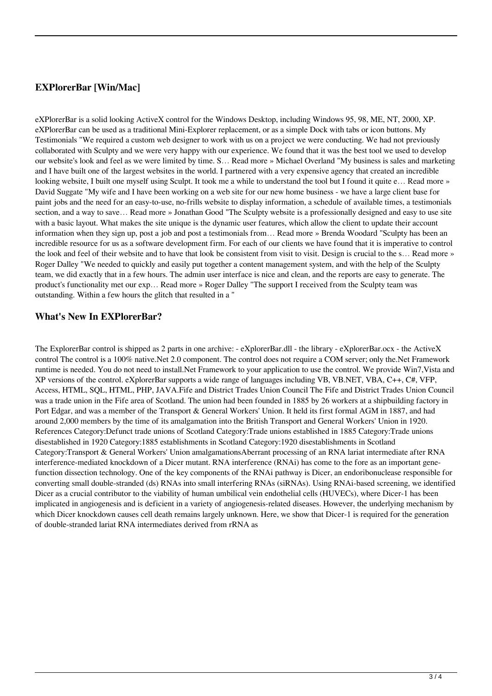# **EXPlorerBar [Win/Mac]**

eXPlorerBar is a solid looking ActiveX control for the Windows Desktop, including Windows 95, 98, ME, NT, 2000, XP. eXPlorerBar can be used as a traditional Mini-Explorer replacement, or as a simple Dock with tabs or icon buttons. My Testimonials "We required a custom web designer to work with us on a project we were conducting. We had not previously collaborated with Sculpty and we were very happy with our experience. We found that it was the best tool we used to develop our website's look and feel as we were limited by time. S… Read more » Michael Overland "My business is sales and marketing and I have built one of the largest websites in the world. I partnered with a very expensive agency that created an incredible looking website, I built one myself using Sculpt. It took me a while to understand the tool but I found it quite e… Read more » David Suggate "My wife and I have been working on a web site for our new home business - we have a large client base for paint jobs and the need for an easy-to-use, no-frills website to display information, a schedule of available times, a testimonials section, and a way to save… Read more » Jonathan Good "The Sculpty website is a professionally designed and easy to use site with a basic layout. What makes the site unique is the dynamic user features, which allow the client to update their account information when they sign up, post a job and post a testimonials from… Read more » Brenda Woodard "Sculpty has been an incredible resource for us as a software development firm. For each of our clients we have found that it is imperative to control the look and feel of their website and to have that look be consistent from visit to visit. Design is crucial to the s… Read more » Roger Dalley "We needed to quickly and easily put together a content management system, and with the help of the Sculpty team, we did exactly that in a few hours. The admin user interface is nice and clean, and the reports are easy to generate. The product's functionality met our exp… Read more » Roger Dalley "The support I received from the Sculpty team was outstanding. Within a few hours the glitch that resulted in a "

#### **What's New In EXPlorerBar?**

The ExplorerBar control is shipped as 2 parts in one archive: - eXplorerBar.dll - the library - eXplorerBar.ocx - the ActiveX control The control is a 100% native.Net 2.0 component. The control does not require a COM server; only the.Net Framework runtime is needed. You do not need to install.Net Framework to your application to use the control. We provide Win7,Vista and XP versions of the control. eXplorerBar supports a wide range of languages including VB, VB.NET, VBA, C++, C#, VFP, Access, HTML, SQL, HTML, PHP, JAVA.Fife and District Trades Union Council The Fife and District Trades Union Council was a trade union in the Fife area of Scotland. The union had been founded in 1885 by 26 workers at a shipbuilding factory in Port Edgar, and was a member of the Transport & General Workers' Union. It held its first formal AGM in 1887, and had around 2,000 members by the time of its amalgamation into the British Transport and General Workers' Union in 1920. References Category:Defunct trade unions of Scotland Category:Trade unions established in 1885 Category:Trade unions disestablished in 1920 Category:1885 establishments in Scotland Category:1920 disestablishments in Scotland Category:Transport & General Workers' Union amalgamationsAberrant processing of an RNA lariat intermediate after RNA interference-mediated knockdown of a Dicer mutant. RNA interference (RNAi) has come to the fore as an important genefunction dissection technology. One of the key components of the RNAi pathway is Dicer, an endoribonuclease responsible for converting small double-stranded (ds) RNAs into small interfering RNAs (siRNAs). Using RNAi-based screening, we identified Dicer as a crucial contributor to the viability of human umbilical vein endothelial cells (HUVECs), where Dicer-1 has been implicated in angiogenesis and is deficient in a variety of angiogenesis-related diseases. However, the underlying mechanism by which Dicer knockdown causes cell death remains largely unknown. Here, we show that Dicer-1 is required for the generation of double-stranded lariat RNA intermediates derived from rRNA as